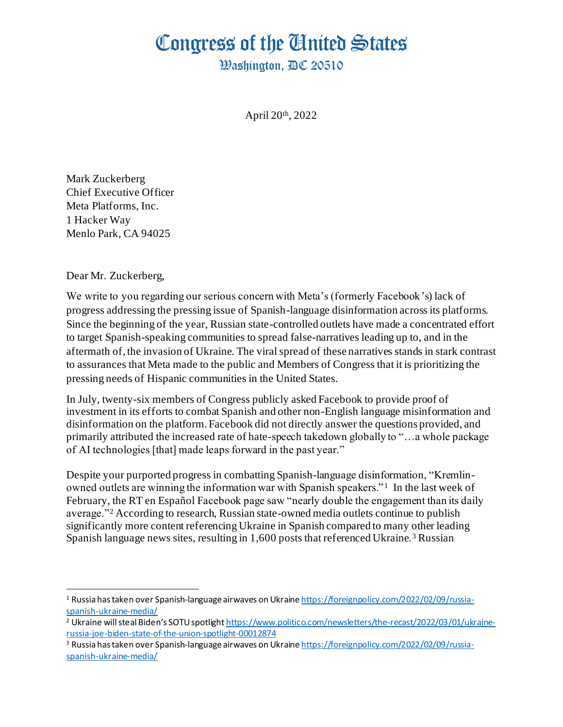## Congress of the United States

**Washington, AC 20510** 

April 20th, 2022

Mark Zuckerberg Chief Executive Officer Meta Platforms, Inc. 1 Hacker Way Menlo Park, CA 94025

Dear Mr. Zuckerberg,

We write to you regarding our serious concern with Meta's (formerly Facebook's) lack of progress addressing the pressing issue of Spanish-language disinformation across its platforms. Since the beginning of the year, Russian state-controlled outlets have made a concentrated effort to target Spanish-speaking communities to spread false-narratives leading up to, and in the aftermath of, the invasion of Ukraine. The viral spread of these narratives stands in stark contrast to assurances that Meta made to the public and Members of Congress that it is prioritizing the pressing needs of Hispanic communities in the United States.

In July, twenty-six members of Congress publicly asked Facebook to provide proof of investment in its efforts to combat Spanish and other non-English language misinformation and disinformation on the platform. Facebook did not directly answer the questions provided, and primarily attributed the increased rate of hate-speech takedown globally to "…a whole package of AI technologies [that] made leaps forward in the past year."

Despite your purported progress in combatting Spanish-language disinformation, "Kremlinowned outlets are winning the information war with Spanish speakers."<sup>1</sup> In the last week of February, the RT en Español Facebook page saw "nearly double the engagement than its daily average."<sup>2</sup> According to research, Russian state-owned media outlets continue to publish significantly more content referencing Ukraine in Spanish compared to many other leading Spanish language news sites, resulting in  $1,600$  posts that referenced Ukraine.<sup>3</sup> Russian

<sup>&</sup>lt;sup>1</sup> Russia has taken over Spanish-language airwaves on Ukrain[e https://foreignpolicy.com/2022/02/09/russia](https://foreignpolicy.com/2022/02/09/russia-spanish-ukraine-media/)[spanish-ukraine-media/](https://foreignpolicy.com/2022/02/09/russia-spanish-ukraine-media/)

<sup>&</sup>lt;sup>2</sup> Ukraine will steal Biden's SOTU spotlight [https://www.politico.com/newsletters/the-recast/2022/03/01/ukraine](https://www.politico.com/newsletters/the-recast/2022/03/01/ukraine-russia-joe-biden-state-of-the-union-spotlight-00012874)[russia-joe-biden-state-of-the-union-spotlight-00012874](https://www.politico.com/newsletters/the-recast/2022/03/01/ukraine-russia-joe-biden-state-of-the-union-spotlight-00012874)

<sup>&</sup>lt;sup>3</sup> Russia has taken over Spanish-language airwaves on Ukrain[e https://foreignpolicy.com/2022/02/09/russia](https://foreignpolicy.com/2022/02/09/russia-spanish-ukraine-media/)[spanish-ukraine-media/](https://foreignpolicy.com/2022/02/09/russia-spanish-ukraine-media/)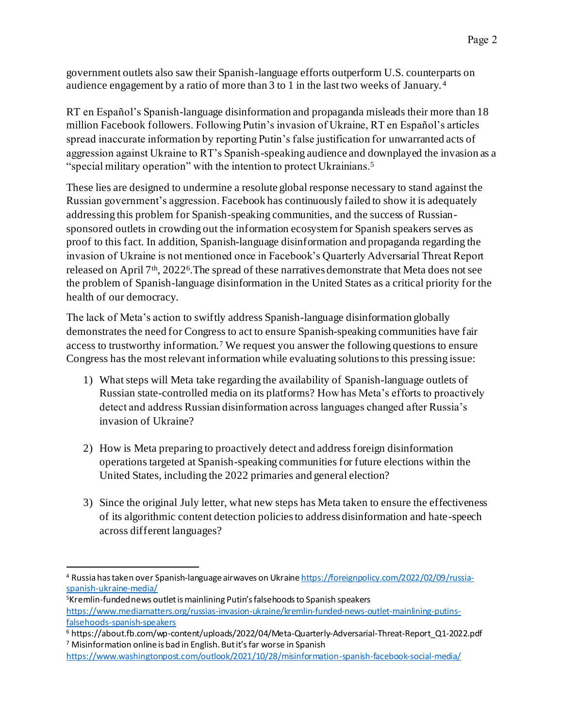government outlets also saw their Spanish-language efforts outperform U.S. counterparts on audience engagement by a ratio of more than 3 to 1 in the last two weeks of January. <sup>4</sup>

RT en Español's Spanish-language disinformation and propaganda misleads their more than 18 million Facebook followers. Following Putin's invasion of Ukraine, RT en Español's articles spread inaccurate information by reporting Putin's false justification for unwarranted acts of aggression against Ukraine to RT's Spanish-speaking audience and downplayed the invasion as a "special military operation" with the intention to protect Ukrainians.<sup>5</sup>

These lies are designed to undermine a resolute global response necessary to stand against the Russian government's aggression. Facebook has continuously failed to show it is adequately addressing this problem for Spanish-speaking communities, and the success of Russiansponsored outlets in crowding out the information ecosystem for Spanish speakers serves as proof to this fact. In addition, Spanish-language disinformation and propaganda regarding the invasion of Ukraine is not mentioned once in Facebook's Quarterly Adversarial Threat Report released on April 7<sup>th</sup>, 2022<sup>6</sup>. The spread of these narratives demonstrate that Meta does not see the problem of Spanish-language disinformation in the United States as a critical priority for the health of our democracy.

The lack of Meta's action to swiftly address Spanish-language disinformation globally demonstrates the need for Congress to act to ensure Spanish-speaking communities have fair access to trustworthy information.<sup>7</sup> We request you answer the following questions to ensure Congress has the most relevant information while evaluating solutions to this pressing issue:

- 1) What steps will Meta take regarding the availability of Spanish-language outlets of Russian state-controlled media on its platforms? How has Meta's efforts to proactively detect and address Russian disinformation across languages changed after Russia's invasion of Ukraine?
- 2) How is Meta preparing to proactively detect and address foreign disinformation operations targeted at Spanish-speaking communities for future elections within the United States, including the 2022 primaries and general election?
- 3) Since the original July letter, what new steps has Meta taken to ensure the effectiveness of its algorithmic content detection policies to address disinformation and hate-speech across different languages?

<sup>4</sup> Russia has taken over Spanish-language airwaves on Ukrain[e https://foreignpolicy.com/2022/02/09/russia](https://foreignpolicy.com/2022/02/09/russia-spanish-ukraine-media/)[spanish-ukraine-media/](https://foreignpolicy.com/2022/02/09/russia-spanish-ukraine-media/)

<sup>5</sup>Kremlin-funded news outlet is mainlining Putin's falsehoods to Spanish speakers [https://www.mediamatters.org/russias-invasion-ukraine/kremlin-funded-news-outlet-mainlining-putins](https://www.mediamatters.org/russias-invasion-ukraine/kremlin-funded-news-outlet-mainlining-putins-falsehoods-spanish-speakers)[falsehoods-spanish-speakers](https://www.mediamatters.org/russias-invasion-ukraine/kremlin-funded-news-outlet-mainlining-putins-falsehoods-spanish-speakers)

<sup>6</sup> https://about.fb.com/wp-content/uploads/2022/04/Meta-Quarterly-Adversarial-Threat-Report\_Q1-2022.pdf <sup>7</sup> Misinformation online is bad in English. But it's far worse in Spanish

<https://www.washingtonpost.com/outlook/2021/10/28/misinformation-spanish-facebook-social-media/>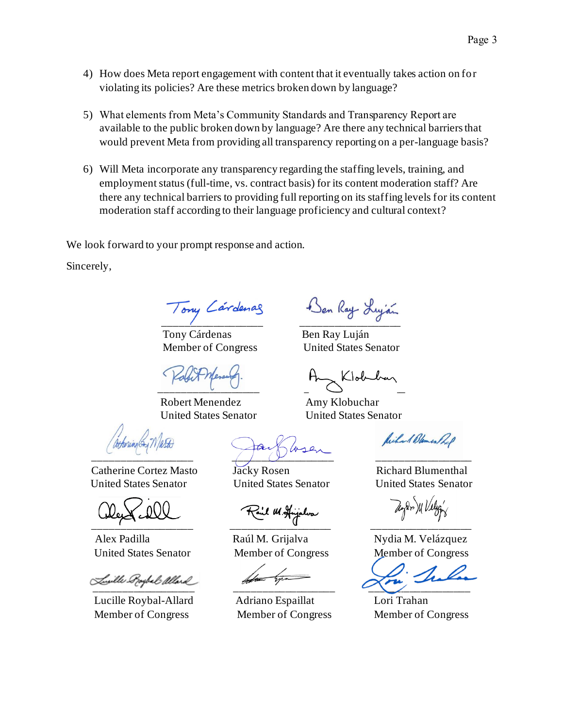- 4) How does Meta report engagement with content that it eventually takes action on for violating its policies? Are these metrics broken down by language?
- 5) What elements from Meta's Community Standards and Transparency Report are available to the public broken down by language? Are there any technical barriers that would prevent Meta from providing all transparency reporting on a per-language basis?
- 6) Will Meta incorporate any transparency regarding the staffing levels, training, and employment status (full-time, vs. contract basis) for its content moderation staff? Are there any technical barriers to providing full reporting on its staffing levels for its content moderation staff according to their language proficiency and cultural context?

We look forward to your prompt response and action.

Sincerely,

Tony Cárdenas Ben Ray Luján

Robert Menendez Amy Klobuchar

Catherine Cortez Masto Jacky Rosen Richard Blumenthal United States Senator United States Senator United States Senator

\_\_\_\_\_\_\_\_\_\_\_\_\_\_\_\_\_\_ \_\_\_\_\_\_\_\_\_\_\_\_\_\_\_\_\_\_ \_\_\_\_\_\_\_\_\_\_\_\_\_\_\_\_\_\_

 Lucille Roybal-Allard Adriano Espaillat Lori Trahan Member of Congress Member of Congress Member of Congress

\_\_\_\_\_\_\_\_\_\_\_\_\_\_\_\_\_\_ \_\_\_\_\_\_\_\_\_\_\_\_\_\_\_\_\_\_ \_\_\_\_\_\_\_\_\_\_\_\_\_\_\_\_\_

Tony Cardenas Ben Ray Lujan

Member of Congress United States Senator

 $\overline{\phantom{a}}$  ,  $\overline{\phantom{a}}$  ,  $\overline{\phantom{a}}$  ,  $\overline{\phantom{a}}$  ,  $\overline{\phantom{a}}$  ,  $\overline{\phantom{a}}$ 

United States Senator United States Senator

Wilson Blemen Pol

Alex Padilla **Raúl M. Grijalva** Nydia M. Velázquez United States Senator Member of Congress Member of Congress

\_\_\_\_\_\_\_\_\_\_\_\_\_\_\_\_\_\_ \_\_\_\_\_\_\_\_\_\_\_\_\_\_\_\_\_\_ \_\_\_\_\_\_\_\_\_\_\_\_\_\_\_\_\_\_